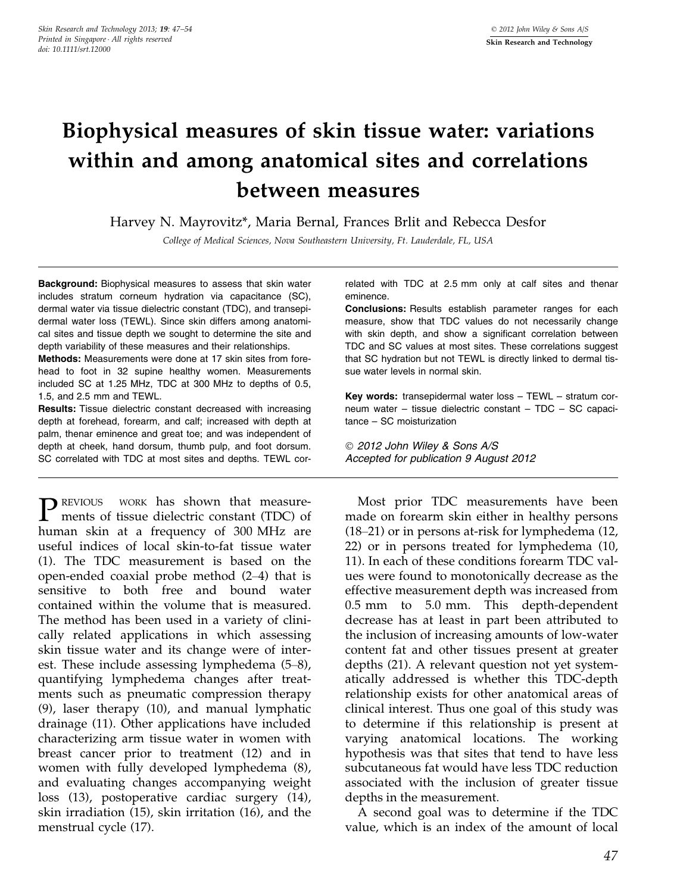# Biophysical measures of skin tissue water: variations within and among anatomical sites and correlations between measures

Harvey N. Mayrovitz\*, Maria Bernal, Frances Brlit and Rebecca Desfor

College of Medical Sciences, Nova Southeastern University, Ft. Lauderdale, FL, USA

Background: Biophysical measures to assess that skin water includes stratum corneum hydration via capacitance (SC), dermal water via tissue dielectric constant (TDC), and transepidermal water loss (TEWL). Since skin differs among anatomical sites and tissue depth we sought to determine the site and depth variability of these measures and their relationships.

Methods: Measurements were done at 17 skin sites from forehead to foot in 32 supine healthy women. Measurements included SC at 1.25 MHz, TDC at 300 MHz to depths of 0.5, 1.5, and 2.5 mm and TEWL.

Results: Tissue dielectric constant decreased with increasing depth at forehead, forearm, and calf; increased with depth at palm, thenar eminence and great toe; and was independent of depth at cheek, hand dorsum, thumb pulp, and foot dorsum. SC correlated with TDC at most sites and depths. TEWL cor-

**P** REVIOUS WORK has shown that measure-<br>ments of tissue dielectric constant (TDC) of human skin at a frequency of 300 MHz are useful indices of local skin-to-fat tissue water (1). The TDC measurement is based on the open-ended coaxial probe method (2–4) that is sensitive to both free and bound water contained within the volume that is measured. The method has been used in a variety of clinically related applications in which assessing skin tissue water and its change were of interest. These include assessing lymphedema (5–8), quantifying lymphedema changes after treatments such as pneumatic compression therapy (9), laser therapy (10), and manual lymphatic drainage (11). Other applications have included characterizing arm tissue water in women with breast cancer prior to treatment (12) and in women with fully developed lymphedema (8), and evaluating changes accompanying weight loss (13), postoperative cardiac surgery (14), skin irradiation (15), skin irritation (16), and the menstrual cycle (17).

related with TDC at 2.5 mm only at calf sites and thenar eminence.

Conclusions: Results establish parameter ranges for each measure, show that TDC values do not necessarily change with skin depth, and show a significant correlation between TDC and SC values at most sites. These correlations suggest that SC hydration but not TEWL is directly linked to dermal tissue water levels in normal skin.

Key words: transepidermal water loss – TEWL – stratum corneum water – tissue dielectric constant – TDC – SC capacitance – SC moisturization

 2012 John Wiley & Sons A/S Accepted for publication 9 August 2012

Most prior TDC measurements have been made on forearm skin either in healthy persons (18–21) or in persons at-risk for lymphedema (12, 22) or in persons treated for lymphedema (10, 11). In each of these conditions forearm TDC values were found to monotonically decrease as the effective measurement depth was increased from 0.5 mm to 5.0 mm. This depth-dependent decrease has at least in part been attributed to the inclusion of increasing amounts of low-water content fat and other tissues present at greater depths (21). A relevant question not yet systematically addressed is whether this TDC-depth relationship exists for other anatomical areas of clinical interest. Thus one goal of this study was to determine if this relationship is present at varying anatomical locations. The working hypothesis was that sites that tend to have less subcutaneous fat would have less TDC reduction associated with the inclusion of greater tissue depths in the measurement.

A second goal was to determine if the TDC value, which is an index of the amount of local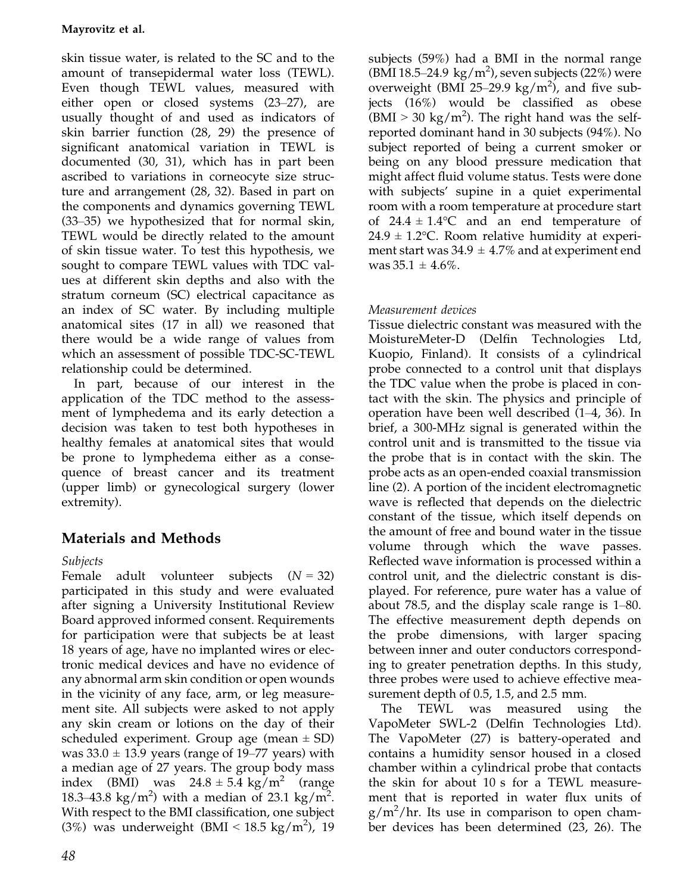skin tissue water, is related to the SC and to the amount of transepidermal water loss (TEWL). Even though TEWL values, measured with either open or closed systems (23–27), are usually thought of and used as indicators of skin barrier function (28, 29) the presence of significant anatomical variation in TEWL is documented (30, 31), which has in part been ascribed to variations in corneocyte size structure and arrangement (28, 32). Based in part on the components and dynamics governing TEWL (33–35) we hypothesized that for normal skin, TEWL would be directly related to the amount of skin tissue water. To test this hypothesis, we sought to compare TEWL values with TDC values at different skin depths and also with the stratum corneum (SC) electrical capacitance as an index of SC water. By including multiple anatomical sites (17 in all) we reasoned that there would be a wide range of values from which an assessment of possible TDC-SC-TEWL relationship could be determined.

In part, because of our interest in the application of the TDC method to the assessment of lymphedema and its early detection a decision was taken to test both hypotheses in healthy females at anatomical sites that would be prone to lymphedema either as a consequence of breast cancer and its treatment (upper limb) or gynecological surgery (lower extremity).

# Materials and Methods

## Subjects

Female adult volunteer subjects  $(N = 32)$ participated in this study and were evaluated after signing a University Institutional Review Board approved informed consent. Requirements for participation were that subjects be at least 18 years of age, have no implanted wires or electronic medical devices and have no evidence of any abnormal arm skin condition or open wounds in the vicinity of any face, arm, or leg measurement site. All subjects were asked to not apply any skin cream or lotions on the day of their scheduled experiment. Group age (mean  $\pm$  SD) was  $33.0 \pm 13.9$  years (range of 19–77 years) with a median age of 27 years. The group body mass index (BMI) was  $24.8 \pm 5.4$  kg/m<sup>2</sup> (range 18.3–43.8 kg/m<sup>2</sup>) with a median of 23.1 kg/m<sup>2</sup>. With respect to the BMI classification, one subject (3%) was underweight (BMI <  $18.5 \text{ kg/m}^2$ ), 19

subjects (59%) had a BMI in the normal range (BMI 18.5-24.9  $\text{kg/m}^2$ ), seven subjects (22%) were overweight (BMI 25-29.9 kg/m<sup>2</sup>), and five subjects (16%) would be classified as obese  $(BMI > 30 \text{ kg/m}^2)$ . The right hand was the selfreported dominant hand in 30 subjects (94%). No subject reported of being a current smoker or being on any blood pressure medication that might affect fluid volume status. Tests were done with subjects' supine in a quiet experimental room with a room temperature at procedure start of  $24.4 \pm 1.4$ °C and an end temperature of  $24.9 \pm 1.2$ °C. Room relative humidity at experiment start was  $34.9 \pm 4.7\%$  and at experiment end was  $35.1 \pm 4.6\%$ .

# Measurement devices

Tissue dielectric constant was measured with the MoistureMeter-D (Delfin Technologies Ltd, Kuopio, Finland). It consists of a cylindrical probe connected to a control unit that displays the TDC value when the probe is placed in contact with the skin. The physics and principle of operation have been well described (1–4, 36). In brief, a 300-MHz signal is generated within the control unit and is transmitted to the tissue via the probe that is in contact with the skin. The probe acts as an open-ended coaxial transmission line (2). A portion of the incident electromagnetic wave is reflected that depends on the dielectric constant of the tissue, which itself depends on the amount of free and bound water in the tissue volume through which the wave passes. Reflected wave information is processed within a control unit, and the dielectric constant is displayed. For reference, pure water has a value of about 78.5, and the display scale range is 1–80. The effective measurement depth depends on the probe dimensions, with larger spacing between inner and outer conductors corresponding to greater penetration depths. In this study, three probes were used to achieve effective measurement depth of 0.5, 1.5, and 2.5 mm.

The TEWL was measured using the VapoMeter SWL-2 (Delfin Technologies Ltd). The VapoMeter (27) is battery-operated and contains a humidity sensor housed in a closed chamber within a cylindrical probe that contacts the skin for about 10 s for a TEWL measurement that is reported in water flux units of  $g/m^2/hr$ . Its use in comparison to open chamber devices has been determined (23, 26). The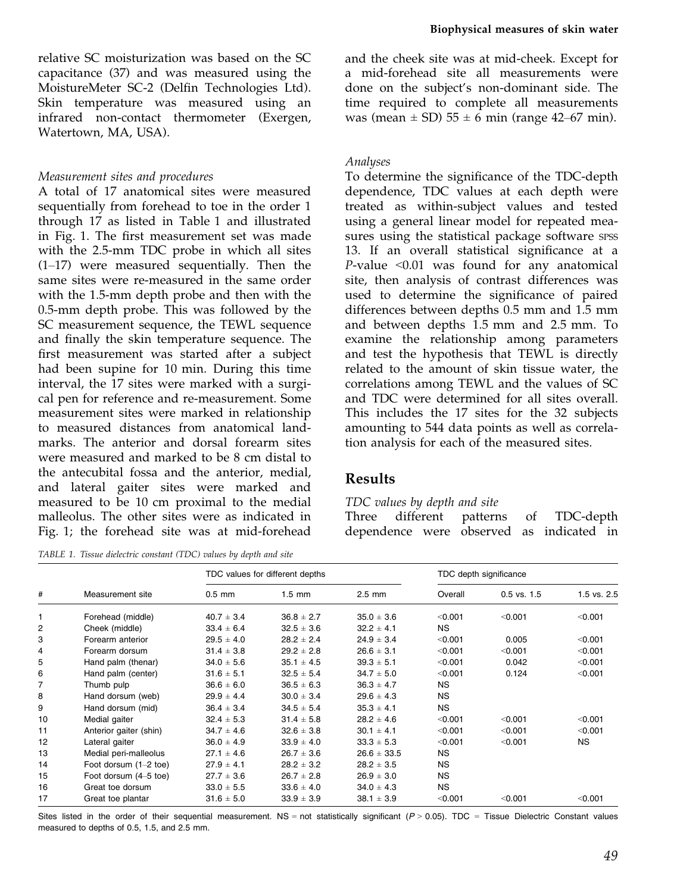relative SC moisturization was based on the SC capacitance (37) and was measured using the MoistureMeter SC-2 (Delfin Technologies Ltd). Skin temperature was measured using an infrared non-contact thermometer (Exergen, Watertown, MA, USA).

#### Measurement sites and procedures

A total of 17 anatomical sites were measured sequentially from forehead to toe in the order 1 through 17 as listed in Table 1 and illustrated in Fig. 1. The first measurement set was made with the 2.5-mm TDC probe in which all sites (1–17) were measured sequentially. Then the same sites were re-measured in the same order with the 1.5-mm depth probe and then with the 0.5-mm depth probe. This was followed by the SC measurement sequence, the TEWL sequence and finally the skin temperature sequence. The first measurement was started after a subject had been supine for 10 min. During this time interval, the 17 sites were marked with a surgical pen for reference and re-measurement. Some measurement sites were marked in relationship to measured distances from anatomical landmarks. The anterior and dorsal forearm sites were measured and marked to be 8 cm distal to the antecubital fossa and the anterior, medial, and lateral gaiter sites were marked and measured to be 10 cm proximal to the medial malleolus. The other sites were as indicated in Fig. 1; the forehead site was at mid-forehead

TABLE 1. Tissue dielectric constant (TDC) values by depth and site

and the cheek site was at mid-cheek. Except for a mid-forehead site all measurements were done on the subject's non-dominant side. The time required to complete all measurements was (mean  $\pm$  SD) 55  $\pm$  6 min (range 42–67 min).

#### Analyses

To determine the significance of the TDC-depth dependence, TDC values at each depth were treated as within-subject values and tested using a general linear model for repeated measures using the statistical package software spss 13. If an overall statistical significance at a  $P$ -value <0.01 was found for any anatomical site, then analysis of contrast differences was used to determine the significance of paired differences between depths 0.5 mm and 1.5 mm and between depths 1.5 mm and 2.5 mm. To examine the relationship among parameters and test the hypothesis that TEWL is directly related to the amount of skin tissue water, the correlations among TEWL and the values of SC and TDC were determined for all sites overall. This includes the 17 sites for the 32 subjects amounting to 544 data points as well as correlation analysis for each of the measured sites.

#### Results

#### TDC values by depth and site

Three different patterns of TDC-depth dependence were observed as indicated in

| #  | Measurement site        | TDC values for different depths |                  |                 | TDC depth significance |                 |             |
|----|-------------------------|---------------------------------|------------------|-----------------|------------------------|-----------------|-------------|
|    |                         | $0.5$ mm                        | $1.5 \text{ mm}$ | $2.5$ mm        | Overall                | $0.5$ vs. $1.5$ | 1.5 vs. 2.5 |
| 1  | Forehead (middle)       | $40.7 \pm 3.4$                  | $36.8 \pm 2.7$   | $35.0 \pm 3.6$  | < 0.001                | < 0.001         | < 0.001     |
| 2  | Cheek (middle)          | $33.4 \pm 6.4$                  | $32.5 \pm 3.6$   | $32.2 \pm 4.1$  | NS.                    |                 |             |
| 3  | Forearm anterior        | $29.5 \pm 4.0$                  | $28.2 \pm 2.4$   | $24.9 \pm 3.4$  | < 0.001                | 0.005           | < 0.001     |
| 4  | Forearm dorsum          | $31.4 \pm 3.8$                  | $29.2 \pm 2.8$   | $26.6 \pm 3.1$  | < 0.001                | < 0.001         | < 0.001     |
| 5  | Hand palm (thenar)      | $34.0 \pm 5.6$                  | $35.1 \pm 4.5$   | $39.3 \pm 5.1$  | < 0.001                | 0.042           | < 0.001     |
| 6  | Hand palm (center)      | $31.6 \pm 5.1$                  | $32.5 \pm 5.4$   | $34.7 \pm 5.0$  | < 0.001                | 0.124           | < 0.001     |
| 7  | Thumb pulp              | $36.6 \pm 6.0$                  | $36.5 \pm 6.3$   | $36.3 \pm 4.7$  | NS.                    |                 |             |
| 8  | Hand dorsum (web)       | $29.9 \pm 4.4$                  | $30.0 \pm 3.4$   | $29.6 \pm 4.3$  | NS.                    |                 |             |
| 9  | Hand dorsum (mid)       | $36.4 \pm 3.4$                  | $34.5 \pm 5.4$   | $35.3 \pm 4.1$  | <b>NS</b>              |                 |             |
| 10 | Medial gaiter           | $32.4 \pm 5.3$                  | $31.4 \pm 5.8$   | $28.2 \pm 4.6$  | < 0.001                | < 0.001         | < 0.001     |
| 11 | Anterior gaiter (shin)  | $34.7 \pm 4.6$                  | $32.6 \pm 3.8$   | $30.1 \pm 4.1$  | < 0.001                | < 0.001         | < 0.001     |
| 12 | Lateral gaiter          | $36.0 \pm 4.9$                  | $33.9 \pm 4.0$   | $33.3 \pm 5.3$  | < 0.001                | < 0.001         | NS.         |
| 13 | Medial peri-malleolus   | $27.1 \pm 4.6$                  | $26.7 \pm 3.6$   | $26.6 \pm 33.5$ | <b>NS</b>              |                 |             |
| 14 | Foot dorsum $(1-2$ toe) | $27.9 \pm 4.1$                  | $28.2 \pm 3.2$   | $28.2 \pm 3.5$  | NS.                    |                 |             |
| 15 | Foot dorsum (4–5 toe)   | $27.7 \pm 3.6$                  | $26.7 \pm 2.8$   | $26.9 \pm 3.0$  | NS.                    |                 |             |
| 16 | Great toe dorsum        | $33.0 \pm 5.5$                  | $33.6 \pm 4.0$   | $34.0 \pm 4.3$  | NS.                    |                 |             |
| 17 | Great toe plantar       | $31.6 \pm 5.0$                  | $33.9 \pm 3.9$   | $38.1 \pm 3.9$  | < 0.001                | < 0.001         | < 0.001     |

Sites listed in the order of their sequential measurement. NS = not statistically significant  $(P > 0.05)$ . TDC = Tissue Dielectric Constant values measured to depths of 0.5, 1.5, and 2.5 mm.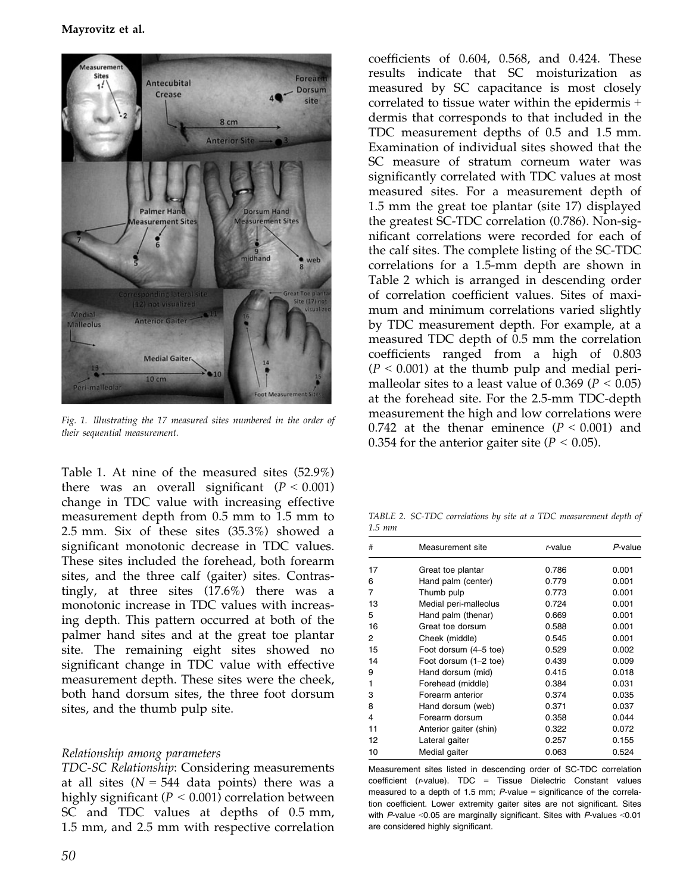

Fig. 1. Illustrating the 17 measured sites numbered in the order of their sequential measurement.

Table 1. At nine of the measured sites (52.9%) there was an overall significant  $(P < 0.001)$ change in TDC value with increasing effective measurement depth from 0.5 mm to 1.5 mm to 2.5 mm. Six of these sites (35.3%) showed a significant monotonic decrease in TDC values. These sites included the forehead, both forearm sites, and the three calf (gaiter) sites. Contrastingly, at three sites (17.6%) there was a monotonic increase in TDC values with increasing depth. This pattern occurred at both of the palmer hand sites and at the great toe plantar site. The remaining eight sites showed no significant change in TDC value with effective measurement depth. These sites were the cheek, both hand dorsum sites, the three foot dorsum sites, and the thumb pulp site.

#### Relationship among parameters

TDC-SC Relationship: Considering measurements at all sites  $(N = 544$  data points) there was a highly significant ( $P < 0.001$ ) correlation between SC and TDC values at depths of 0.5 mm, 1.5 mm, and 2.5 mm with respective correlation

coefficients of 0.604, 0.568, and 0.424. These results indicate that SC moisturization as measured by SC capacitance is most closely correlated to tissue water within the epidermis + dermis that corresponds to that included in the TDC measurement depths of 0.5 and 1.5 mm. Examination of individual sites showed that the SC measure of stratum corneum water was significantly correlated with TDC values at most measured sites. For a measurement depth of 1.5 mm the great toe plantar (site 17) displayed the greatest SC-TDC correlation (0.786). Non-significant correlations were recorded for each of the calf sites. The complete listing of the SC-TDC correlations for a 1.5-mm depth are shown in Table 2 which is arranged in descending order of correlation coefficient values. Sites of maximum and minimum correlations varied slightly by TDC measurement depth. For example, at a measured TDC depth of 0.5 mm the correlation coefficients ranged from a high of 0.803  $(P < 0.001)$  at the thumb pulp and medial perimalleolar sites to a least value of 0.369 ( $P < 0.05$ ) at the forehead site. For the 2.5-mm TDC-depth measurement the high and low correlations were 0.742 at the thenar eminence  $(P < 0.001)$  and 0.354 for the anterior gaiter site ( $P < 0.05$ ).

TABLE 2. SC-TDC correlations by site at a TDC measurement depth of 1.5 mm

| #  | Measurement site       | r-value | P-value |
|----|------------------------|---------|---------|
| 17 | Great toe plantar      | 0.786   | 0.001   |
| 6  | Hand palm (center)     | 0.779   | 0.001   |
| 7  | Thumb pulp             | 0.773   | 0.001   |
| 13 | Medial peri-malleolus  | 0.724   | 0.001   |
| 5  | Hand palm (thenar)     | 0.669   | 0.001   |
| 16 | Great toe dorsum       | 0.588   | 0.001   |
| 2  | Cheek (middle)         | 0.545   | 0.001   |
| 15 | Foot dorsum (4–5 toe)  | 0.529   | 0.002   |
| 14 | Foot dorsum (1-2 toe)  | 0.439   | 0.009   |
| 9  | Hand dorsum (mid)      | 0.415   | 0.018   |
| 1  | Forehead (middle)      | 0.384   | 0.031   |
| 3  | Forearm anterior       | 0.374   | 0.035   |
| 8  | Hand dorsum (web)      | 0.371   | 0.037   |
| 4  | Forearm dorsum         | 0.358   | 0.044   |
| 11 | Anterior gaiter (shin) | 0.322   | 0.072   |
| 12 | Lateral gaiter         | 0.257   | 0.155   |
| 10 | Medial gaiter          | 0.063   | 0.524   |

Measurement sites listed in descending order of SC-TDC correlation coefficient (r-value). TDC = Tissue Dielectric Constant values measured to a depth of 1.5 mm;  $P$ -value = significance of the correlation coefficient. Lower extremity gaiter sites are not significant. Sites with P-value <0.05 are marginally significant. Sites with P-values <0.01 are considered highly significant.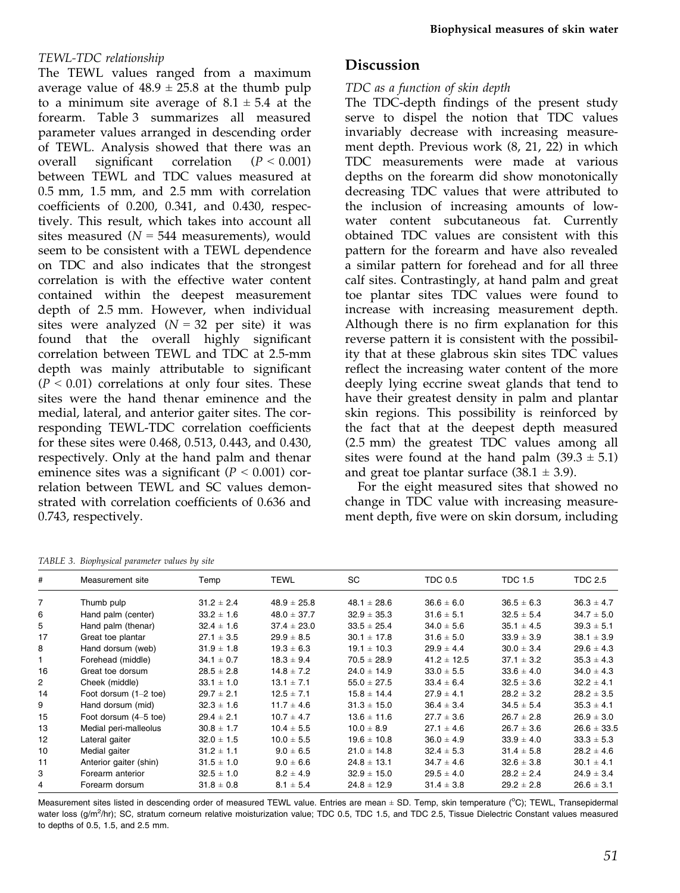## TEWL-TDC relationship

The TEWL values ranged from a maximum average value of  $48.9 \pm 25.8$  at the thumb pulp to a minimum site average of  $8.1 \pm 5.4$  at the forearm. Table 3 summarizes all measured parameter values arranged in descending order of TEWL. Analysis showed that there was an overall significant correlation  $(P < 0.001)$ between TEWL and TDC values measured at 0.5 mm, 1.5 mm, and 2.5 mm with correlation coefficients of 0.200, 0.341, and 0.430, respectively. This result, which takes into account all sites measured ( $N = 544$  measurements), would seem to be consistent with a TEWL dependence on TDC and also indicates that the strongest correlation is with the effective water content contained within the deepest measurement depth of 2.5 mm. However, when individual sites were analyzed  $(N = 32$  per site) it was found that the overall highly significant correlation between TEWL and TDC at 2.5-mm depth was mainly attributable to significant  $(P < 0.01)$  correlations at only four sites. These sites were the hand thenar eminence and the medial, lateral, and anterior gaiter sites. The corresponding TEWL-TDC correlation coefficients for these sites were 0.468, 0.513, 0.443, and 0.430, respectively. Only at the hand palm and thenar eminence sites was a significant ( $P < 0.001$ ) correlation between TEWL and SC values demonstrated with correlation coefficients of 0.636 and 0.743, respectively.

# Discussion

## TDC as a function of skin depth

The TDC-depth findings of the present study serve to dispel the notion that TDC values invariably decrease with increasing measurement depth. Previous work (8, 21, 22) in which TDC measurements were made at various depths on the forearm did show monotonically decreasing TDC values that were attributed to the inclusion of increasing amounts of lowwater content subcutaneous fat. Currently obtained TDC values are consistent with this pattern for the forearm and have also revealed a similar pattern for forehead and for all three calf sites. Contrastingly, at hand palm and great toe plantar sites TDC values were found to increase with increasing measurement depth. Although there is no firm explanation for this reverse pattern it is consistent with the possibility that at these glabrous skin sites TDC values reflect the increasing water content of the more deeply lying eccrine sweat glands that tend to have their greatest density in palm and plantar skin regions. This possibility is reinforced by the fact that at the deepest depth measured (2.5 mm) the greatest TDC values among all sites were found at the hand palm  $(39.3 \pm 5.1)$ and great toe plantar surface  $(38.1 \pm 3.9)$ .

For the eight measured sites that showed no change in TDC value with increasing measurement depth, five were on skin dorsum, including

TABLE 3. Biophysical parameter values by site

| #              | Measurement site       | Temp           | <b>TEWL</b>     | <b>SC</b>       | <b>TDC 0.5</b>  | <b>TDC 1.5</b> | <b>TDC 2.5</b>  |
|----------------|------------------------|----------------|-----------------|-----------------|-----------------|----------------|-----------------|
| 7              | Thumb pulp             | $31.2 \pm 2.4$ | $48.9 \pm 25.8$ | $48.1 \pm 28.6$ | $36.6 \pm 6.0$  | $36.5 \pm 6.3$ | $36.3 \pm 4.7$  |
| 6              | Hand palm (center)     | $33.2 \pm 1.6$ | $48.0 \pm 37.7$ | $32.9 \pm 35.3$ | $31.6 \pm 5.1$  | $32.5 \pm 5.4$ | $34.7 \pm 5.0$  |
| 5              | Hand palm (thenar)     | $32.4 \pm 1.6$ | $37.4 \pm 23.0$ | $33.5 \pm 25.4$ | $34.0 \pm 5.6$  | $35.1 \pm 4.5$ | $39.3 \pm 5.1$  |
| 17             | Great toe plantar      | $27.1 \pm 3.5$ | $29.9 \pm 8.5$  | $30.1 \pm 17.8$ | $31.6 \pm 5.0$  | $33.9 \pm 3.9$ | $38.1 \pm 3.9$  |
| 8              | Hand dorsum (web)      | $31.9 \pm 1.8$ | $19.3 \pm 6.3$  | $19.1 \pm 10.3$ | $29.9 \pm 4.4$  | $30.0 \pm 3.4$ | $29.6 \pm 4.3$  |
| 1              | Forehead (middle)      | $34.1 \pm 0.7$ | $18.3 \pm 9.4$  | $70.5 \pm 28.9$ | $41.2 \pm 12.5$ | $37.1 \pm 3.2$ | $35.3 \pm 4.3$  |
| 16             | Great toe dorsum       | $28.5 \pm 2.8$ | $14.8 \pm 7.2$  | $24.0 \pm 14.9$ | $33.0 \pm 5.5$  | $33.6 \pm 4.0$ | $34.0 \pm 4.3$  |
| $\overline{2}$ | Cheek (middle)         | $33.1 \pm 1.0$ | $13.1 \pm 7.1$  | $55.0 \pm 27.5$ | $33.4 \pm 6.4$  | $32.5 \pm 3.6$ | $32.2 \pm 4.1$  |
| 14             | Foot dorsum (1-2 toe)  | $29.7 \pm 2.1$ | $12.5 \pm 7.1$  | $15.8 \pm 14.4$ | $27.9 \pm 4.1$  | $28.2 \pm 3.2$ | $28.2 \pm 3.5$  |
| 9              | Hand dorsum (mid)      | $32.3 \pm 1.6$ | $11.7 \pm 4.6$  | $31.3 \pm 15.0$ | $36.4 \pm 3.4$  | $34.5 \pm 5.4$ | $35.3 \pm 4.1$  |
| 15             | Foot dorsum (4–5 toe)  | $29.4 \pm 2.1$ | $10.7 \pm 4.7$  | $13.6 \pm 11.6$ | $27.7 \pm 3.6$  | $26.7 \pm 2.8$ | $26.9 \pm 3.0$  |
| 13             | Medial peri-malleolus  | $30.8 \pm 1.7$ | $10.4 \pm 5.5$  | $10.0 \pm 8.9$  | $27.1 \pm 4.6$  | $26.7 \pm 3.6$ | $26.6 \pm 33.5$ |
| 12             | Lateral gaiter         | $32.0 \pm 1.5$ | $10.0 \pm 5.5$  | $19.6 \pm 10.8$ | $36.0 \pm 4.9$  | $33.9 \pm 4.0$ | $33.3 \pm 5.3$  |
| 10             | Medial gaiter          | $31.2 \pm 1.1$ | $9.0 \pm 6.5$   | $21.0 \pm 14.8$ | $32.4 \pm 5.3$  | $31.4 \pm 5.8$ | $28.2 \pm 4.6$  |
| 11             | Anterior gaiter (shin) | $31.5 \pm 1.0$ | $9.0 \pm 6.6$   | $24.8 \pm 13.1$ | $34.7 \pm 4.6$  | $32.6 \pm 3.8$ | $30.1 \pm 4.1$  |
| 3              | Forearm anterior       | $32.5 \pm 1.0$ | $8.2 \pm 4.9$   | $32.9 \pm 15.0$ | $29.5 \pm 4.0$  | $28.2 \pm 2.4$ | $24.9 \pm 3.4$  |
| 4              | Forearm dorsum         | $31.8 \pm 0.8$ | $8.1 \pm 5.4$   | $24.8 \pm 12.9$ | $31.4 \pm 3.8$  | $29.2 \pm 2.8$ | $26.6 \pm 3.1$  |

Measurement sites listed in descending order of measured TEWL value. Entries are mean ± SD. Temp, skin temperature (°C); TEWL, Transepidermal water loss (g/m<sup>2</sup>/hr); SC, stratum corneum relative moisturization value; TDC 0.5, TDC 1.5, and TDC 2.5, Tissue Dielectric Constant values measured to depths of 0.5, 1.5, and 2.5 mm.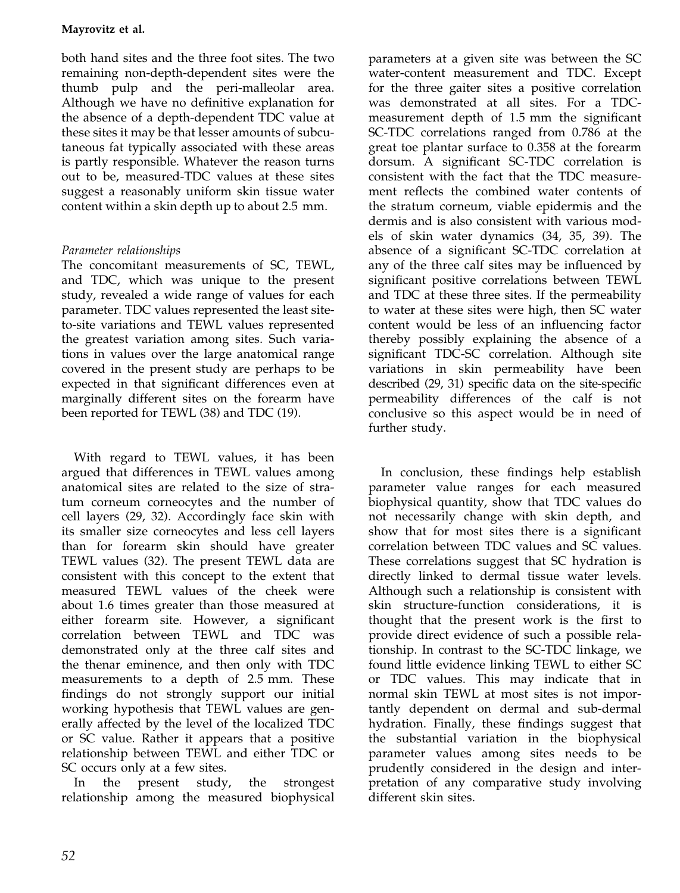## Mayrovitz et al.

both hand sites and the three foot sites. The two remaining non-depth-dependent sites were the thumb pulp and the peri-malleolar area. Although we have no definitive explanation for the absence of a depth-dependent TDC value at these sites it may be that lesser amounts of subcutaneous fat typically associated with these areas is partly responsible. Whatever the reason turns out to be, measured-TDC values at these sites suggest a reasonably uniform skin tissue water content within a skin depth up to about 2.5 mm.

## Parameter relationships

The concomitant measurements of SC, TEWL, and TDC, which was unique to the present study, revealed a wide range of values for each parameter. TDC values represented the least siteto-site variations and TEWL values represented the greatest variation among sites. Such variations in values over the large anatomical range covered in the present study are perhaps to be expected in that significant differences even at marginally different sites on the forearm have been reported for TEWL (38) and TDC (19).

With regard to TEWL values, it has been argued that differences in TEWL values among anatomical sites are related to the size of stratum corneum corneocytes and the number of cell layers (29, 32). Accordingly face skin with its smaller size corneocytes and less cell layers than for forearm skin should have greater TEWL values (32). The present TEWL data are consistent with this concept to the extent that measured TEWL values of the cheek were about 1.6 times greater than those measured at either forearm site. However, a significant correlation between TEWL and TDC was demonstrated only at the three calf sites and the thenar eminence, and then only with TDC measurements to a depth of 2.5 mm. These findings do not strongly support our initial working hypothesis that TEWL values are generally affected by the level of the localized TDC or SC value. Rather it appears that a positive relationship between TEWL and either TDC or SC occurs only at a few sites.

In the present study, the strongest relationship among the measured biophysical

parameters at a given site was between the SC water-content measurement and TDC. Except for the three gaiter sites a positive correlation was demonstrated at all sites. For a TDCmeasurement depth of 1.5 mm the significant SC-TDC correlations ranged from 0.786 at the great toe plantar surface to 0.358 at the forearm dorsum. A significant SC-TDC correlation is consistent with the fact that the TDC measurement reflects the combined water contents of the stratum corneum, viable epidermis and the dermis and is also consistent with various models of skin water dynamics (34, 35, 39). The absence of a significant SC-TDC correlation at any of the three calf sites may be influenced by significant positive correlations between TEWL and TDC at these three sites. If the permeability to water at these sites were high, then SC water content would be less of an influencing factor thereby possibly explaining the absence of a significant TDC-SC correlation. Although site variations in skin permeability have been described (29, 31) specific data on the site-specific permeability differences of the calf is not conclusive so this aspect would be in need of further study.

In conclusion, these findings help establish parameter value ranges for each measured biophysical quantity, show that TDC values do not necessarily change with skin depth, and show that for most sites there is a significant correlation between TDC values and SC values. These correlations suggest that SC hydration is directly linked to dermal tissue water levels. Although such a relationship is consistent with skin structure-function considerations, it is thought that the present work is the first to provide direct evidence of such a possible relationship. In contrast to the SC-TDC linkage, we found little evidence linking TEWL to either SC or TDC values. This may indicate that in normal skin TEWL at most sites is not importantly dependent on dermal and sub-dermal hydration. Finally, these findings suggest that the substantial variation in the biophysical parameter values among sites needs to be prudently considered in the design and interpretation of any comparative study involving different skin sites.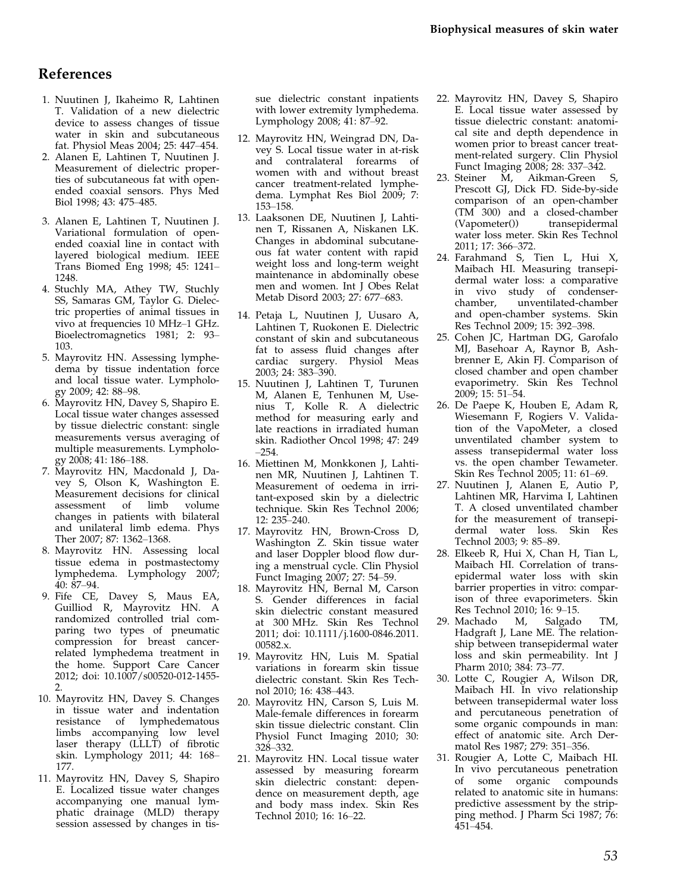# References

- 1. Nuutinen J, Ikaheimo R, Lahtinen T. Validation of a new dielectric device to assess changes of tissue water in skin and subcutaneous fat. Physiol Meas 2004; 25: 447–454.
- 2. Alanen E, Lahtinen T, Nuutinen J. Measurement of dielectric properties of subcutaneous fat with openended coaxial sensors. Phys Med Biol 1998; 43: 475–485.
- 3. Alanen E, Lahtinen T, Nuutinen J. Variational formulation of openended coaxial line in contact with layered biological medium. IEEE Trans Biomed Eng 1998; 45: 1241– 1248.
- 4. Stuchly MA, Athey TW, Stuchly SS, Samaras GM, Taylor G. Dielectric properties of animal tissues in vivo at frequencies 10 MHz–1 GHz. Bioelectromagnetics 1981; 2: 93– 103.
- 5. Mayrovitz HN. Assessing lymphedema by tissue indentation force and local tissue water. Lymphology 2009; 42: 88–98.
- 6. Mayrovitz HN, Davey S, Shapiro E. Local tissue water changes assessed by tissue dielectric constant: single measurements versus averaging of multiple measurements. Lymphology 2008; 41: 186–188.
- 7. Mayrovitz HN, Macdonald J, Davey S, Olson K, Washington E. Measurement decisions for clinical<br>assessment of limb volume assessment of limb volume changes in patients with bilateral and unilateral limb edema. Phys Ther 2007; 87: 1362–1368.
- 8. Mayrovitz HN. Assessing local tissue edema in postmastectomy lymphedema. Lymphology 2007; 40: 87–94.
- 9. Fife CE, Davey S, Maus EA, Guilliod R, Mayrovitz HN. A randomized controlled trial comparing two types of pneumatic compression for breast cancerrelated lymphedema treatment in the home. Support Care Cancer 2012; doi: 10.1007/s00520-012-1455- 2.
- 10. Mayrovitz HN, Davey S. Changes in tissue water and indentation resistance of lymphedematous limbs accompanying low level laser therapy (LLLT) of fibrotic skin. Lymphology 2011; 44: 168– 177.
- 11. Mayrovitz HN, Davey S, Shapiro E. Localized tissue water changes accompanying one manual lymphatic drainage (MLD) therapy session assessed by changes in tis-

sue dielectric constant inpatients with lower extremity lymphedema. Lymphology 2008; 41: 87–92.

- 12. Mayrovitz HN, Weingrad DN, Davey S. Local tissue water in at-risk and contralateral forearms of women with and without breast cancer treatment-related lymphedema. Lymphat Res Biol 2009; 7: 153–158.
- 13. Laaksonen DE, Nuutinen J, Lahtinen T, Rissanen A, Niskanen LK. Changes in abdominal subcutaneous fat water content with rapid weight loss and long-term weight maintenance in abdominally obese men and women. Int J Obes Relat Metab Disord 2003; 27: 677–683.
- 14. Petaja L, Nuutinen J, Uusaro A, Lahtinen T, Ruokonen E. Dielectric constant of skin and subcutaneous fat to assess fluid changes after cardiac surgery. Physiol Meas 2003; 24: 383–390.
- 15. Nuutinen J, Lahtinen T, Turunen M, Alanen E, Tenhunen M, Usenius T, Kolle R. A dielectric method for measuring early and late reactions in irradiated human skin. Radiother Oncol 1998; 47: 249 –254.
- 16. Miettinen M, Monkkonen J, Lahtinen MR, Nuutinen J, Lahtinen T. Measurement of oedema in irritant-exposed skin by a dielectric technique. Skin Res Technol 2006; 12: 235–240.
- 17. Mayrovitz HN, Brown-Cross D, Washington Z. Skin tissue water and laser Doppler blood flow during a menstrual cycle. Clin Physiol Funct Imaging 2007; 27: 54–59.
- 18. Mayrovitz HN, Bernal M, Carson S. Gender differences in facial skin dielectric constant measured at 300 MHz. Skin Res Technol 2011; doi: 10.1111/j.1600-0846.2011. 00582.x.
- 19. Mayrovitz HN, Luis M. Spatial variations in forearm skin tissue dielectric constant. Skin Res Technol 2010; 16: 438–443.
- 20. Mayrovitz HN, Carson S, Luis M. Male-female differences in forearm skin tissue dielectric constant. Clin Physiol Funct Imaging 2010; 30: 328–332.
- 21. Mayrovitz HN. Local tissue water assessed by measuring forearm skin dielectric constant: dependence on measurement depth, age and body mass index. Skin Res Technol 2010; 16: 16–22.
- 22. Mayrovitz HN, Davey S, Shapiro E. Local tissue water assessed by tissue dielectric constant: anatomical site and depth dependence in women prior to breast cancer treatment-related surgery. Clin Physiol Funct Imaging 2008; 28: 337–342.
- 23. Steiner M, Aikman-Green S, Prescott GJ, Dick FD. Side-by-side comparison of an open-chamber (TM 300) and a closed-chamber<br>(Vapometer()) transepidermal transepidermal water loss meter. Skin Res Technol 2011; 17: 366–372.
- 24. Farahmand S, Tien L, Hui X, Maibach HI. Measuring transepidermal water loss: a comparative in vivo study of condenserchamber, unventilated-chamber and open-chamber systems. Skin Res Technol 2009; 15: 392–398.
- 25. Cohen JC, Hartman DG, Garofalo MJ, Basehoar A, Raynor B, Ashbrenner E, Akin FJ. Comparison of closed chamber and open chamber evaporimetry. Skin Res Technol 2009; 15: 51–54.
- 26. De Paepe K, Houben E, Adam R, Wiesemann F, Rogiers V. Validation of the VapoMeter, a closed unventilated chamber system to assess transepidermal water loss vs. the open chamber Tewameter. Skin Res Technol 2005; 11: 61–69.
- 27. Nuutinen J, Alanen E, Autio P, Lahtinen MR, Harvima I, Lahtinen T. A closed unventilated chamber for the measurement of transepidermal water loss. Skin Res Technol 2003; 9: 85–89.
- 28. Elkeeb R, Hui X, Chan H, Tian L, Maibach HI. Correlation of transepidermal water loss with skin barrier properties in vitro: comparison of three evaporimeters. Skin Res Technol 2010; 16: 9–15.
- 29. Machado M, Salgado TM, Hadgraft J, Lane ME. The relationship between transepidermal water loss and skin permeability. Int J Pharm 2010; 384: 73–77.
- 30. Lotte C, Rougier A, Wilson DR, Maibach HI. In vivo relationship between transepidermal water loss and percutaneous penetration of some organic compounds in man: effect of anatomic site. Arch Dermatol Res 1987; 279: 351–356.
- 31. Rougier A, Lotte C, Maibach HI. In vivo percutaneous penetration of some organic compounds related to anatomic site in humans: predictive assessment by the stripping method. J Pharm Sci 1987; 76: 451–454.